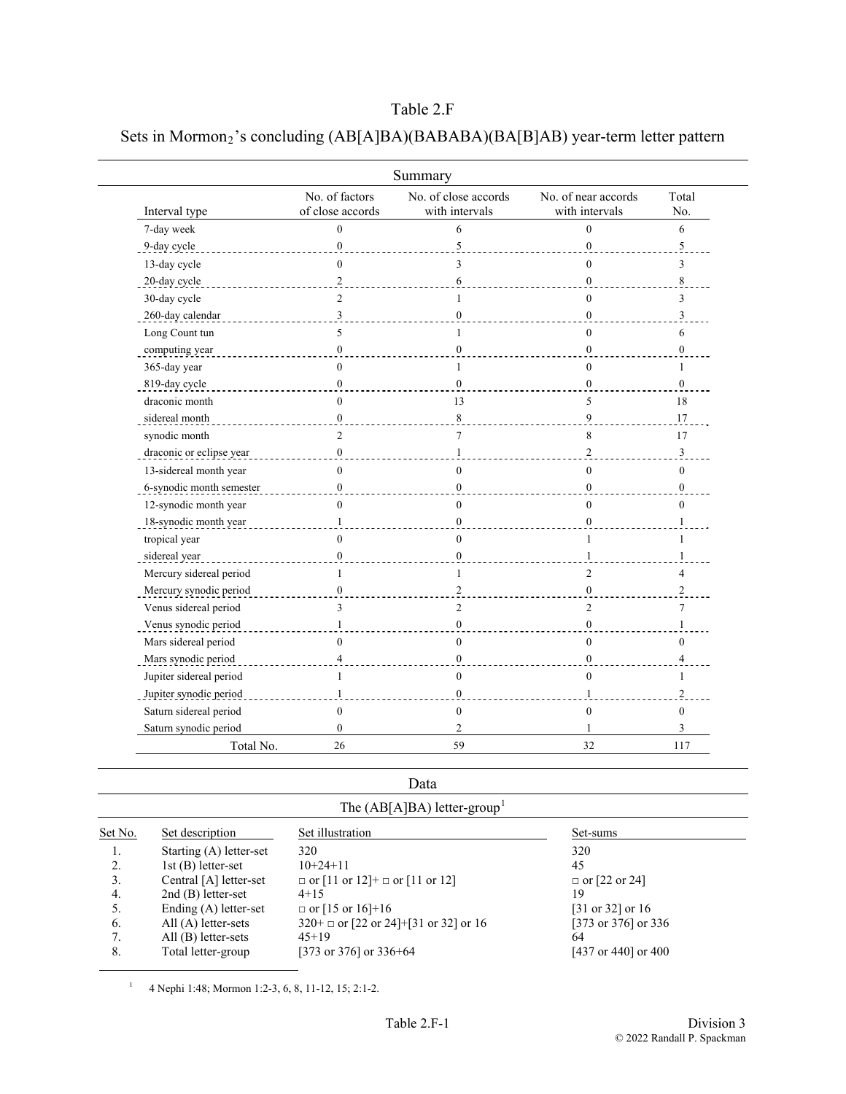# Table 2.F

# Sets in Mormon<sub>2</sub>'s concluding (AB[A]BA)(BABABA)(BA[B]AB) year-term letter pattern

|                          |                                    | Summary                                |                                       |                |
|--------------------------|------------------------------------|----------------------------------------|---------------------------------------|----------------|
| Interval type            | No. of factors<br>of close accords | No. of close accords<br>with intervals | No. of near accords<br>with intervals | Total<br>No.   |
| 7-day week               | $\theta$                           | 6                                      | $\Omega$                              | 6              |
| 9-day cycle              | $\mathbf{0}$                       | 5                                      | $\mathbf{0}$                          | 5              |
| 13-day cycle             | $\theta$                           | 3                                      | $\Omega$                              | 3              |
| 20-day cycle             | $\sqrt{2}$                         | 6                                      | $\theta$                              | 8              |
| 30-day cycle             | $\overline{c}$                     | 1                                      | $\theta$                              | 3              |
| 260-day calendar         | 3                                  | $\mathbf{0}$                           | $\mathbf{0}$                          | 3              |
| Long Count tun           | 5                                  | $\mathbf{1}$                           | $\theta$                              | 6              |
| computing year           | $\mathbf{0}$                       | $\mathbf{0}$                           | $\theta$                              | $\bf{0}$       |
| 365-day year             | $\mathbf{0}$                       | $\mathbf{1}$                           | $\mathbf{0}$                          | $\mathbf{1}$   |
| 819-day cycle            | $\theta$                           | $\theta$                               | $\theta$                              | $\theta$       |
| draconic month           | $\theta$                           | 13                                     | 5                                     | 18             |
| sidereal month           | $\boldsymbol{0}$                   | 8                                      | 9                                     | 17             |
| synodic month            | $\overline{2}$                     | $\tau$                                 | 8                                     | 17             |
| draconic or eclipse year | $\mathbf{0}$                       | $\mathbf{1}$                           | $\overline{2}$                        | $\mathfrak{Z}$ |
| 13-sidereal month year   | $\theta$                           | $\theta$                               | $\theta$                              | $\theta$       |
| 6-synodic month semester | $\overline{0}$                     | $\theta$                               | $\theta$                              | $\overline{0}$ |
| 12-synodic month year    | $\Omega$                           | $\theta$                               | $\theta$                              | $\Omega$       |
| 18-synodic month year    | 1                                  | $\mathbf{0}$                           | $\mathbf{0}$                          | 1              |
| tropical year            | $\theta$                           | $\mathbf{0}$                           | 1                                     | 1              |
| sidereal year            | $\mathbf{0}$                       | $\theta$                               | 1                                     | $\mathbf{1}$   |
| Mercury sidereal period  | 1                                  | 1                                      | $\overline{2}$                        | 4              |
| Mercury synodic period   | $\Omega$                           | $\mathfrak{D}$                         | $\theta$                              | $\overline{c}$ |
| Venus sidereal period    | 3                                  | $\overline{2}$                         | $\overline{2}$                        | 7              |
| Venus synodic period     | 1                                  | $\mathbf{0}$                           | $\mathbf{0}$                          | 1              |
| Mars sidereal period     | $\mathbf{0}$                       | $\mathbf{0}$                           | $\mathbf{0}$                          | $\mathbf{0}$   |
| Mars synodic period      | $\overline{4}$                     | $\mathbf{0}$                           | $\mathbf{0}$                          | $\overline{4}$ |
| Jupiter sidereal period  | 1                                  | $\theta$                               | $\theta$                              | 1              |
| Jupiter synodic period   | 1                                  | $\Omega$                               | $\mathbf{1}$                          | $\overline{2}$ |
| Saturn sidereal period   | $\theta$                           | $\mathbf{0}$                           | $\theta$                              | $\theta$       |
| Saturn synodic period    | $\theta$                           | $\overline{2}$                         | 1                                     | 3              |
| Total No.                | 26                                 | 59                                     | 32                                    | 117            |

#### Data

| The $(AB[ A]BA)$ letter-group |                         |                                            |                      |  |
|-------------------------------|-------------------------|--------------------------------------------|----------------------|--|
| Set No.                       | Set description         | Set illustration                           | Set-sums             |  |
| 1.                            | Starting (A) letter-set | 320                                        | 320                  |  |
| 2.                            | 1st (B) letter-set      | $10+24+11$                                 | 45                   |  |
| 3.                            | Central [A] letter-set  | $\Box$ or [11 or 12]+ $\Box$ or [11 or 12] | $\Box$ or [22 or 24] |  |
| 4.                            | $2nd(B)$ letter-set     | $4+15$                                     | 19                   |  |
| 5.                            | Ending (A) letter-set   | $\Box$ or [15 or 16]+16                    | [31 or 32] or 16     |  |
| 6.                            | $All(A)$ letter-sets    | $320+$ or [22 or 24]+[31 or 32] or 16      | [373 or 376] or 336  |  |
| 7.                            | $All(B)$ letter-sets    | $45+19$                                    | 64                   |  |
| 8.                            | Total letter-group      | [373 or 376] or $336+64$                   | [437 or 440] or 400  |  |

<sup>1</sup> 4 Nephi 1:48; Mormon 1:2-3, 6, 8, 11-12, 15; 2:1-2.

<span id="page-0-0"></span>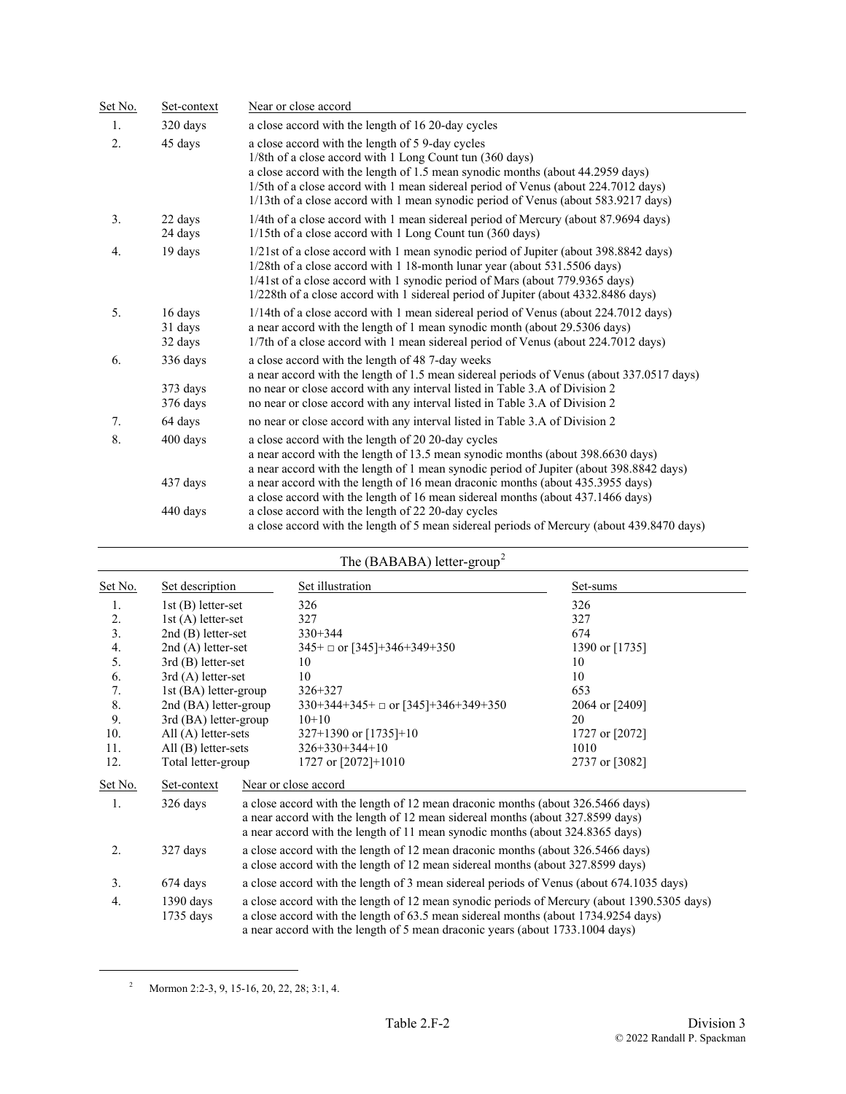| Set No.          | Set-context                      | Near or close accord                                                                                                                                                                                                                                                                                                                                                       |  |  |
|------------------|----------------------------------|----------------------------------------------------------------------------------------------------------------------------------------------------------------------------------------------------------------------------------------------------------------------------------------------------------------------------------------------------------------------------|--|--|
| 1.               | 320 days                         | a close accord with the length of 16 20-day cycles                                                                                                                                                                                                                                                                                                                         |  |  |
| $\overline{2}$ . | 45 days                          | a close accord with the length of 5 9-day cycles<br>1/8th of a close accord with 1 Long Count tun (360 days)<br>a close accord with the length of 1.5 mean synodic months (about 44.2959 days)<br>1/5th of a close accord with 1 mean sidereal period of Venus (about 224.7012 days)<br>1/13th of a close accord with 1 mean synodic period of Venus (about 583.9217 days) |  |  |
| 3.               | 22 days<br>24 days               | 1/4th of a close accord with 1 mean sidereal period of Mercury (about 87.9694 days)<br>1/15th of a close accord with 1 Long Count tun (360 days)                                                                                                                                                                                                                           |  |  |
| $\overline{4}$ . | 19 days                          | 1/21st of a close accord with 1 mean synodic period of Jupiter (about 398.8842 days)<br>1/28th of a close accord with 1 18-month lunar year (about 531.5506 days)<br>1/41st of a close accord with 1 synodic period of Mars (about 779.9365 days)<br>1/228th of a close accord with 1 sidereal period of Jupiter (about 4332.8486 days)                                    |  |  |
| 5.               | 16 days<br>31 days<br>32 days    | 1/14th of a close accord with 1 mean sidereal period of Venus (about 224.7012 days)<br>a near accord with the length of 1 mean synodic month (about 29.5306 days)<br>1/7th of a close accord with 1 mean sidereal period of Venus (about 224.7012 days)                                                                                                                    |  |  |
| 6.               | 336 days<br>373 days<br>376 days | a close accord with the length of 48 7-day weeks<br>a near accord with the length of 1.5 mean sidereal periods of Venus (about 337.0517 days)<br>no near or close accord with any interval listed in Table 3.A of Division 2<br>no near or close accord with any interval listed in Table 3.A of Division 2                                                                |  |  |
| 7.               | 64 days                          | no near or close accord with any interval listed in Table 3.A of Division 2                                                                                                                                                                                                                                                                                                |  |  |
| 8.               | 400 days                         | a close accord with the length of 20 20-day cycles<br>a near accord with the length of 13.5 mean synodic months (about 398.6630 days)<br>a near accord with the length of 1 mean synodic period of Jupiter (about 398.8842 days)                                                                                                                                           |  |  |
|                  | 437 days                         | a near accord with the length of 16 mean draconic months (about 435.3955 days)<br>a close accord with the length of 16 mean sidereal months (about 437.1466 days)                                                                                                                                                                                                          |  |  |
|                  | 440 days                         | a close accord with the length of 22 20-day cycles<br>a close accord with the length of 5 mean sidereal periods of Mercury (about 439.8470 days)                                                                                                                                                                                                                           |  |  |

| The (BABABA) letter-group <sup>2</sup> |                            |                                                                                                                                                                                                                                                                    |                                                                                                                                                                                                                                                    |                |  |
|----------------------------------------|----------------------------|--------------------------------------------------------------------------------------------------------------------------------------------------------------------------------------------------------------------------------------------------------------------|----------------------------------------------------------------------------------------------------------------------------------------------------------------------------------------------------------------------------------------------------|----------------|--|
| Set No.                                | Set description            |                                                                                                                                                                                                                                                                    | Set illustration                                                                                                                                                                                                                                   | Set-sums       |  |
| 1.                                     | $1st$ (B) letter-set       |                                                                                                                                                                                                                                                                    | 326                                                                                                                                                                                                                                                | 326            |  |
| 2.                                     | $1st(A)$ letter-set        |                                                                                                                                                                                                                                                                    | 327                                                                                                                                                                                                                                                | 327            |  |
| $\overline{3}$ .                       | $2nd(B)$ letter-set        |                                                                                                                                                                                                                                                                    | $330 + 344$                                                                                                                                                                                                                                        | 674            |  |
| $\overline{4}$ .                       | $2nd(A)$ letter-set        |                                                                                                                                                                                                                                                                    | $345+$ or [345]+346+349+350                                                                                                                                                                                                                        | 1390 or [1735] |  |
| 5.                                     | $3rd$ (B) letter-set       |                                                                                                                                                                                                                                                                    | 10                                                                                                                                                                                                                                                 | 10             |  |
| 6.                                     | $3rd(A)$ letter-set        |                                                                                                                                                                                                                                                                    | 10                                                                                                                                                                                                                                                 | 10             |  |
| 7.                                     | 1st (BA) letter-group      |                                                                                                                                                                                                                                                                    | 326+327                                                                                                                                                                                                                                            | 653            |  |
| 8.                                     | 2nd (BA) letter-group      |                                                                                                                                                                                                                                                                    | $330+344+345+$ or $\lceil 345 \rceil + 346 + 349 + 350$                                                                                                                                                                                            | 2064 or [2409] |  |
| 9.                                     | 3rd (BA) letter-group      |                                                                                                                                                                                                                                                                    | $10+10$                                                                                                                                                                                                                                            | 20             |  |
| 10.                                    | $All(A)$ letter-sets       |                                                                                                                                                                                                                                                                    | $327+1390$ or $[1735]+10$                                                                                                                                                                                                                          | 1727 or [2072] |  |
| 11.                                    | All $(B)$ letter-sets      |                                                                                                                                                                                                                                                                    | $326+330+344+10$                                                                                                                                                                                                                                   | 1010           |  |
| 12.                                    | Total letter-group         |                                                                                                                                                                                                                                                                    | 1727 or $[2072]+1010$                                                                                                                                                                                                                              | 2737 or [3082] |  |
| Set No.                                | Set-context                |                                                                                                                                                                                                                                                                    | Near or close accord                                                                                                                                                                                                                               |                |  |
| 1.                                     | 326 days                   |                                                                                                                                                                                                                                                                    | a close accord with the length of 12 mean draconic months (about 326.5466 days)<br>a near accord with the length of 12 mean sidereal months (about 327.8599 days)<br>a near accord with the length of 11 mean synodic months (about 324.8365 days) |                |  |
| 2.                                     | 327 days                   | a close accord with the length of 12 mean draconic months (about 326.5466 days)<br>a close accord with the length of 12 mean sidereal months (about 327.8599 days)                                                                                                 |                                                                                                                                                                                                                                                    |                |  |
| 3.                                     | 674 days                   |                                                                                                                                                                                                                                                                    | a close accord with the length of 3 mean sidereal periods of Venus (about 674.1035 days)                                                                                                                                                           |                |  |
| 4.                                     | $1390$ days<br>$1735$ days | a close accord with the length of 12 mean synodic periods of Mercury (about 1390.5305 days)<br>a close accord with the length of 63.5 mean sidereal months (about 1734.9254 days)<br>a near accord with the length of 5 mean draconic years (about 1733.1004 days) |                                                                                                                                                                                                                                                    |                |  |

<span id="page-1-0"></span><sup>&</sup>lt;sup>2</sup> Mormon 2:2-3, 9, 15-16, 20, 22, 28; 3:1, 4.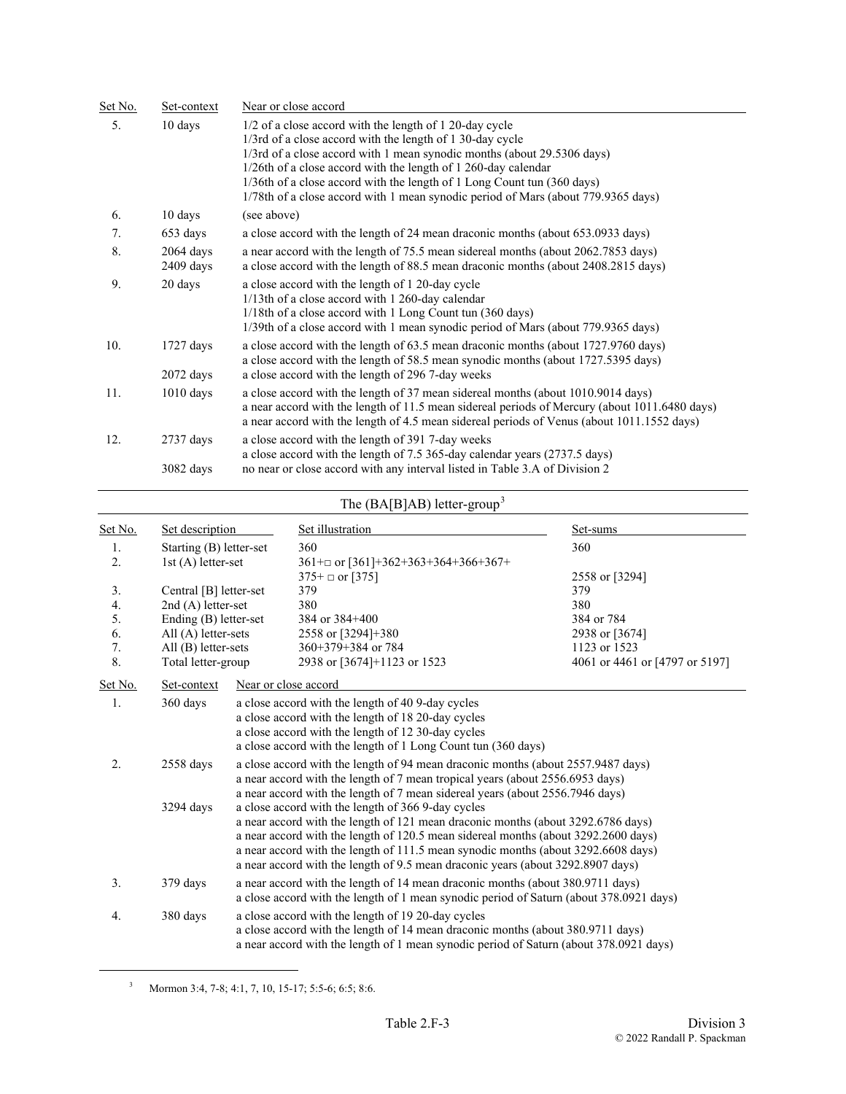| <u>Set No.</u> | Set-context                | Near or close accord                                                                                                                                                                                                                                                                                                                                                                                                              |
|----------------|----------------------------|-----------------------------------------------------------------------------------------------------------------------------------------------------------------------------------------------------------------------------------------------------------------------------------------------------------------------------------------------------------------------------------------------------------------------------------|
| 5.             | 10 days                    | 1/2 of a close accord with the length of 1 20-day cycle<br>1/3rd of a close accord with the length of 1 30-day cycle<br>1/3rd of a close accord with 1 mean synodic months (about 29.5306 days)<br>1/26th of a close accord with the length of 1 260-day calendar<br>1/36th of a close accord with the length of 1 Long Count tun (360 days)<br>1/78th of a close accord with 1 mean synodic period of Mars (about 779.9365 days) |
| 6.             | 10 days                    | (see above)                                                                                                                                                                                                                                                                                                                                                                                                                       |
| 7.             | 653 days                   | a close accord with the length of 24 mean draconic months (about 653.0933 days)                                                                                                                                                                                                                                                                                                                                                   |
| 8.             | $2064$ days<br>$2409$ days | a near accord with the length of 75.5 mean sidereal months (about 2062.7853 days)<br>a close accord with the length of 88.5 mean draconic months (about 2408.2815 days)                                                                                                                                                                                                                                                           |
| 9.             | 20 days                    | a close accord with the length of 1 20-day cycle<br>1/13th of a close accord with 1 260-day calendar<br>1/18th of a close accord with 1 Long Count tun (360 days)<br>1/39th of a close accord with 1 mean synodic period of Mars (about 779.9365 days)                                                                                                                                                                            |
| 10.            | $1727$ days<br>$2072$ days | a close accord with the length of 63.5 mean draconic months (about 1727.9760 days)<br>a close accord with the length of 58.5 mean synodic months (about 1727.5395 days)<br>a close accord with the length of 296 7-day weeks                                                                                                                                                                                                      |
| 11.            | $1010$ days                | a close accord with the length of 37 mean sidereal months (about 1010.9014 days)<br>a near accord with the length of 11.5 mean sidereal periods of Mercury (about 1011.6480 days)<br>a near accord with the length of 4.5 mean sidereal periods of Venus (about 1011.1552 days)                                                                                                                                                   |
| 12.            | $2737$ days                | a close accord with the length of 391 7-day weeks<br>a close accord with the length of 7.5 365-day calendar years (2737.5 days)                                                                                                                                                                                                                                                                                                   |
|                | 3082 days                  | no near or close accord with any interval listed in Table 3.A of Division 2                                                                                                                                                                                                                                                                                                                                                       |

### The  $(BA[B]AB)$  letter-group<sup>[3](#page-2-0)</sup>

| Set No.          | Set description         |                                                                                                                                                                                                                                                                                                                                                                                                      | Set illustration                                                                                                                                                                                                                                   | Set-sums                       |  |
|------------------|-------------------------|------------------------------------------------------------------------------------------------------------------------------------------------------------------------------------------------------------------------------------------------------------------------------------------------------------------------------------------------------------------------------------------------------|----------------------------------------------------------------------------------------------------------------------------------------------------------------------------------------------------------------------------------------------------|--------------------------------|--|
| 1.               | Starting (B) letter-set |                                                                                                                                                                                                                                                                                                                                                                                                      | 360                                                                                                                                                                                                                                                | 360                            |  |
| $\overline{2}$ . | 1st (A) letter-set      |                                                                                                                                                                                                                                                                                                                                                                                                      | 361+ $\Box$ or [361]+362+363+364+366+367+                                                                                                                                                                                                          |                                |  |
|                  |                         |                                                                                                                                                                                                                                                                                                                                                                                                      | $375+$ or [375]                                                                                                                                                                                                                                    | 2558 or [3294]                 |  |
| 3.               | Central [B] letter-set  |                                                                                                                                                                                                                                                                                                                                                                                                      | 379                                                                                                                                                                                                                                                | 379                            |  |
| 4.               | $2nd(A)$ letter-set     |                                                                                                                                                                                                                                                                                                                                                                                                      | 380                                                                                                                                                                                                                                                | 380                            |  |
| 5.               | Ending (B) letter-set   |                                                                                                                                                                                                                                                                                                                                                                                                      | 384 or $384+400$                                                                                                                                                                                                                                   | 384 or 784                     |  |
| 6.               | All $(A)$ letter-sets   |                                                                                                                                                                                                                                                                                                                                                                                                      | 2558 or [3294]+380                                                                                                                                                                                                                                 | 2938 or [3674]                 |  |
| 7.               | $All(B)$ letter-sets    |                                                                                                                                                                                                                                                                                                                                                                                                      | 360+379+384 or 784                                                                                                                                                                                                                                 | 1123 or 1523                   |  |
| 8.               | Total letter-group      |                                                                                                                                                                                                                                                                                                                                                                                                      | 2938 or [3674]+1123 or 1523                                                                                                                                                                                                                        | 4061 or 4461 or [4797 or 5197] |  |
| Set No.          | Set-context             |                                                                                                                                                                                                                                                                                                                                                                                                      | Near or close accord                                                                                                                                                                                                                               |                                |  |
| 1.               | 360 days                |                                                                                                                                                                                                                                                                                                                                                                                                      | a close accord with the length of 40 9-day cycles<br>a close accord with the length of 18 20-day cycles<br>a close accord with the length of 12 30-day cycles<br>a close accord with the length of 1 Long Count tun (360 days)                     |                                |  |
| 2.               | 2558 days               |                                                                                                                                                                                                                                                                                                                                                                                                      | a close accord with the length of 94 mean draconic months (about 2557.9487 days)<br>a near accord with the length of 7 mean tropical years (about 2556.6953 days)<br>a near accord with the length of 7 mean sidereal years (about 2556.7946 days) |                                |  |
|                  | 3294 days               | a close accord with the length of 366 9-day cycles<br>a near accord with the length of 121 mean draconic months (about 3292.6786 days)<br>a near accord with the length of 120.5 mean sidereal months (about 3292.2600 days)<br>a near accord with the length of 111.5 mean synodic months (about 3292.6608 days)<br>a near accord with the length of 9.5 mean draconic years (about 3292.8907 days) |                                                                                                                                                                                                                                                    |                                |  |
| 3.               | 379 days                | a near accord with the length of 14 mean draconic months (about 380.9711 days)<br>a close accord with the length of 1 mean synodic period of Saturn (about 378.0921 days)                                                                                                                                                                                                                            |                                                                                                                                                                                                                                                    |                                |  |
| 4.               | 380 days                | a close accord with the length of 19 20-day cycles<br>a close accord with the length of 14 mean draconic months (about 380.9711 days)<br>a near accord with the length of 1 mean synodic period of Saturn (about 378.0921 days)                                                                                                                                                                      |                                                                                                                                                                                                                                                    |                                |  |

 $3$  Mormon 3:4, 7-8; 4:1, 7, 10, 15-17; 5:5-6; 6:5; 8:6.

<span id="page-2-0"></span>